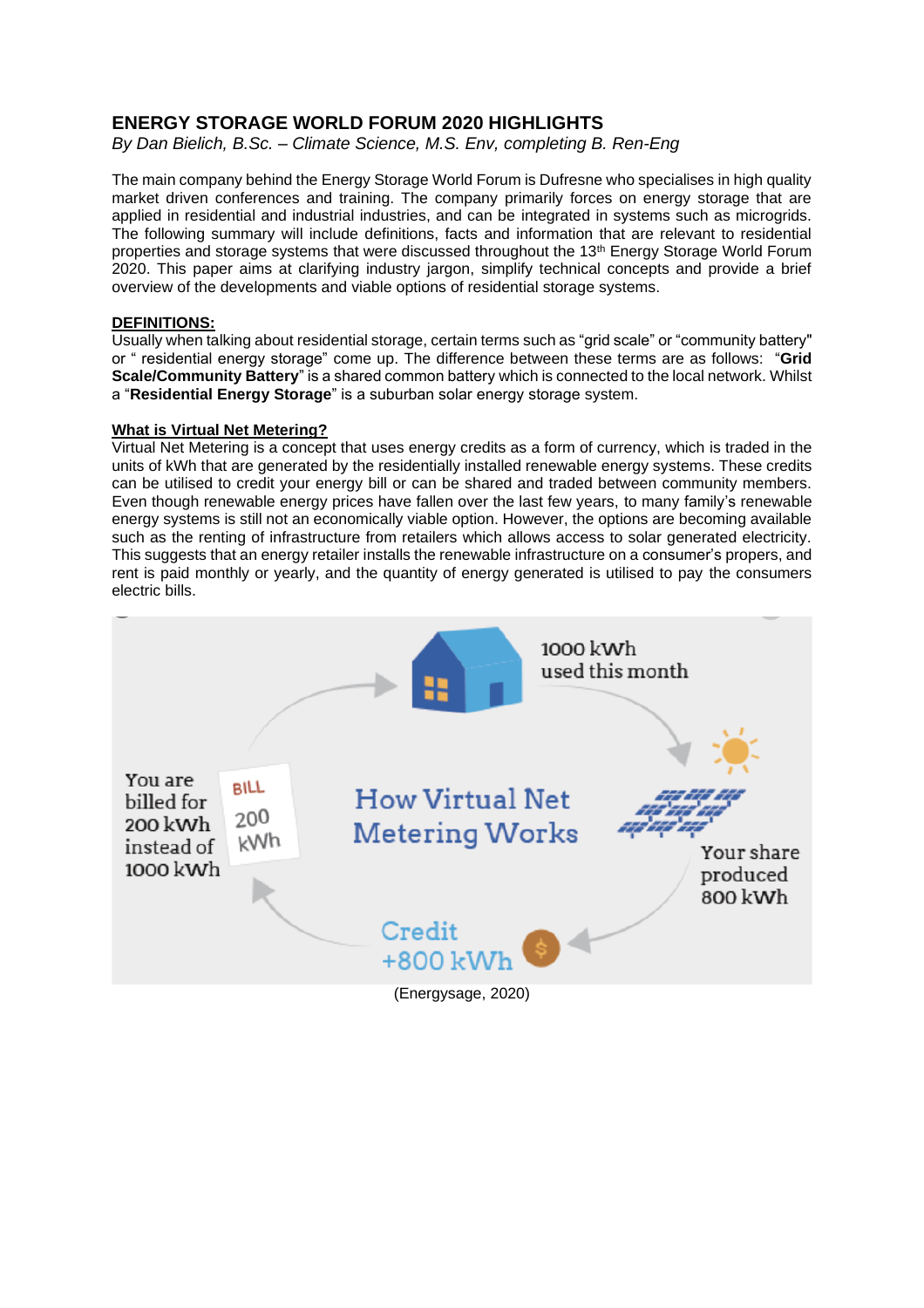# **ENERGY STORAGE WORLD FORUM 2020 HIGHLIGHTS**

*By Dan Bielich, B.Sc. – Climate Science, M.S. Env, completing B. Ren-Eng*

The main company behind the Energy Storage World Forum is Dufresne who specialises in high quality market driven conferences and training. The company primarily forces on energy storage that are applied in residential and industrial industries, and can be integrated in systems such as microgrids. The following summary will include definitions, facts and information that are relevant to residential properties and storage systems that were discussed throughout the 13<sup>th</sup> Energy Storage World Forum 2020. This paper aims at clarifying industry jargon, simplify technical concepts and provide a brief overview of the developments and viable options of residential storage systems.

### **DEFINITIONS:**

Usually when talking about residential storage, certain terms such as "grid scale" or "community battery" or " residential energy storage" come up. The difference between these terms are as follows: "**Grid Scale/Community Battery**" is a shared common battery which is connected to the local network. Whilst a "**Residential Energy Storage**" is a suburban solar energy storage system.

### **What is Virtual Net Metering?**

Virtual Net Metering is a concept that uses energy credits as a form of currency, which is traded in the units of kWh that are generated by the residentially installed renewable energy systems. These credits can be utilised to credit your energy bill or can be shared and traded between community members. Even though renewable energy prices have fallen over the last few years, to many family's renewable energy systems is still not an economically viable option. However, the options are becoming available such as the renting of infrastructure from retailers which allows access to solar generated electricity. This suggests that an energy retailer installs the renewable infrastructure on a consumer's propers, and rent is paid monthly or yearly, and the quantity of energy generated is utilised to pay the consumers electric bills.

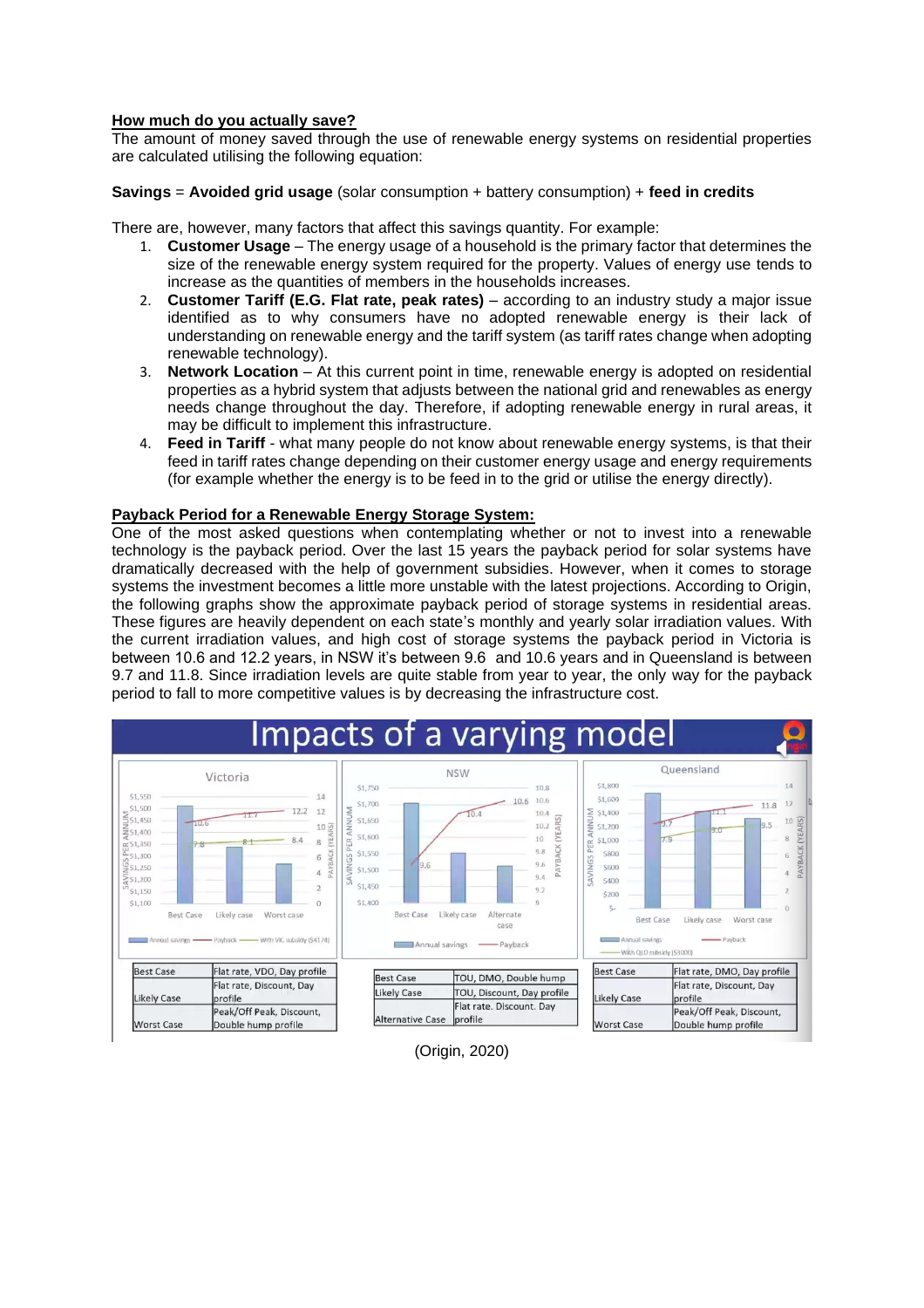#### **How much do you actually save?**

The amount of money saved through the use of renewable energy systems on residential properties are calculated utilising the following equation:

**Savings** = **Avoided grid usage** (solar consumption + battery consumption) + **feed in credits**

There are, however, many factors that affect this savings quantity. For example:

- 1. **Customer Usage** The energy usage of a household is the primary factor that determines the size of the renewable energy system required for the property. Values of energy use tends to increase as the quantities of members in the households increases.
- 2. **Customer Tariff (E.G. Flat rate, peak rates)** according to an industry study a major issue identified as to why consumers have no adopted renewable energy is their lack of understanding on renewable energy and the tariff system (as tariff rates change when adopting renewable technology).
- 3. **Network Location** At this current point in time, renewable energy is adopted on residential properties as a hybrid system that adjusts between the national grid and renewables as energy needs change throughout the day. Therefore, if adopting renewable energy in rural areas, it may be difficult to implement this infrastructure.
- 4. **Feed in Tariff** what many people do not know about renewable energy systems, is that their feed in tariff rates change depending on their customer energy usage and energy requirements (for example whether the energy is to be feed in to the grid or utilise the energy directly).

#### **Payback Period for a Renewable Energy Storage System:**

One of the most asked questions when contemplating whether or not to invest into a renewable technology is the payback period. Over the last 15 years the payback period for solar systems have dramatically decreased with the help of government subsidies. However, when it comes to storage systems the investment becomes a little more unstable with the latest projections. According to Origin, the following graphs show the approximate payback period of storage systems in residential areas. These figures are heavily dependent on each state's monthly and yearly solar irradiation values. With the current irradiation values, and high cost of storage systems the payback period in Victoria is between 10.6 and 12.2 years, in NSW it's between 9.6 and 10.6 years and in Queensland is between 9.7 and 11.8. Since irradiation levels are quite stable from year to year, the only way for the payback period to fall to more competitive values is by decreasing the infrastructure cost.



# (Origin, 2020)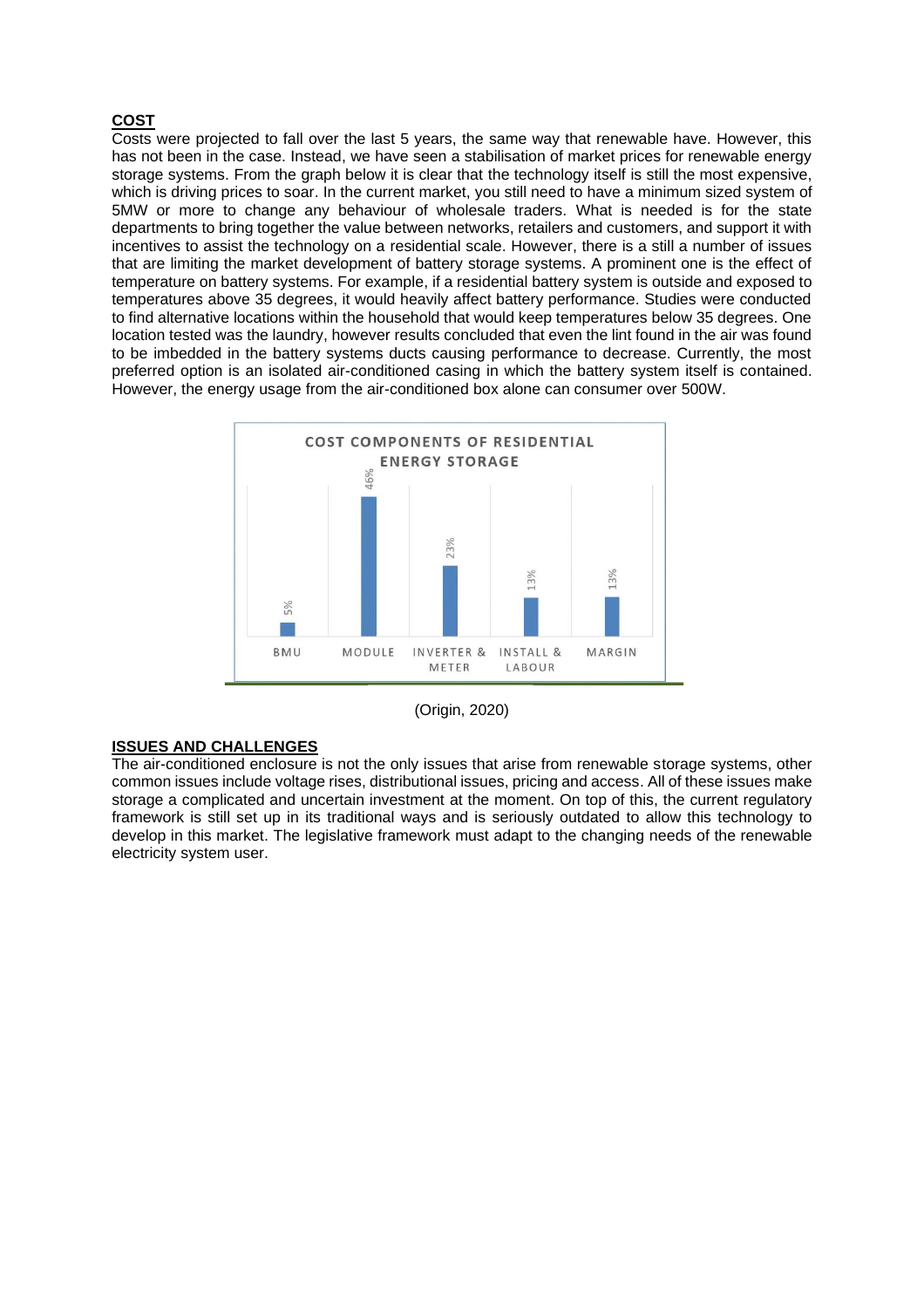# **COST**

Costs were projected to fall over the last 5 years, the same way that renewable have. However, this has not been in the case. Instead, we have seen a stabilisation of market prices for renewable energy storage systems. From the graph below it is clear that the technology itself is still the most expensive, which is driving prices to soar. In the current market, you still need to have a minimum sized system of 5MW or more to change any behaviour of wholesale traders. What is needed is for the state departments to bring together the value between networks, retailers and customers, and support it with incentives to assist the technology on a residential scale. However, there is a still a number of issues that are limiting the market development of battery storage systems. A prominent one is the effect of temperature on battery systems. For example, if a residential battery system is outside and exposed to temperatures above 35 degrees, it would heavily affect battery performance. Studies were conducted to find alternative locations within the household that would keep temperatures below 35 degrees. One location tested was the laundry, however results concluded that even the lint found in the air was found to be imbedded in the battery systems ducts causing performance to decrease. Currently, the most preferred option is an isolated air-conditioned casing in which the battery system itself is contained. However, the energy usage from the air-conditioned box alone can consumer over 500W.





### **ISSUES AND CHALLENGES**

The air-conditioned enclosure is not the only issues that arise from renewable storage systems, other common issues include voltage rises, distributional issues, pricing and access. All of these issues make storage a complicated and uncertain investment at the moment. On top of this, the current regulatory framework is still set up in its traditional ways and is seriously outdated to allow this technology to develop in this market. The legislative framework must adapt to the changing needs of the renewable electricity system user.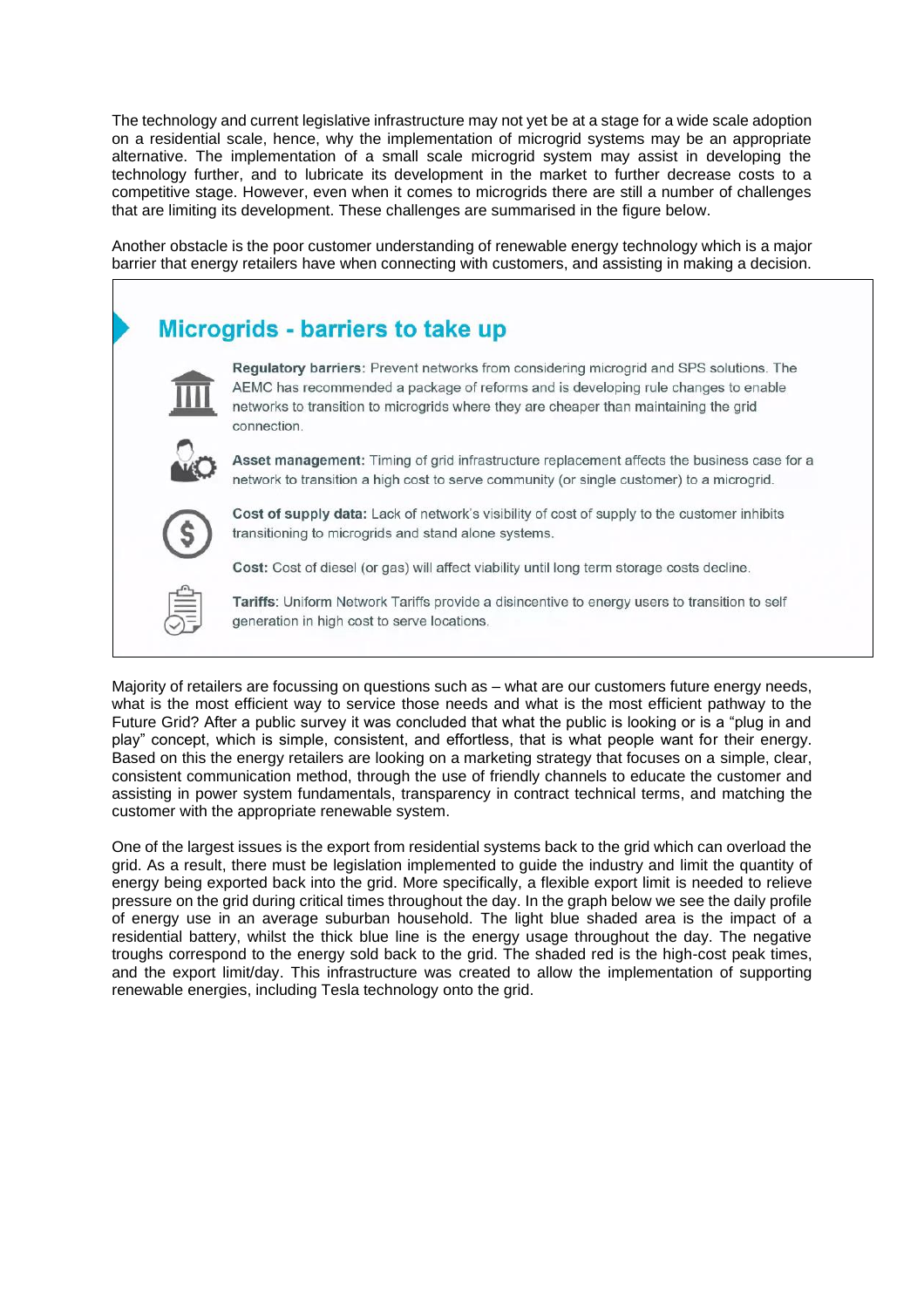The technology and current legislative infrastructure may not yet be at a stage for a wide scale adoption on a residential scale, hence, why the implementation of microgrid systems may be an appropriate alternative. The implementation of a small scale microgrid system may assist in developing the technology further, and to lubricate its development in the market to further decrease costs to a competitive stage. However, even when it comes to microgrids there are still a number of challenges that are limiting its development. These challenges are summarised in the figure below.

Another obstacle is the poor customer understanding of renewable energy technology which is a major barrier that energy retailers have when connecting with customers, and assisting in making a decision.



Majority of retailers are focussing on questions such as – what are our customers future energy needs, what is the most efficient way to service those needs and what is the most efficient pathway to the Future Grid? After a public survey it was concluded that what the public is looking or is a "plug in and play" concept, which is simple, consistent, and effortless, that is what people want for their energy. Based on this the energy retailers are looking on a marketing strategy that focuses on a simple, clear, consistent communication method, through the use of friendly channels to educate the customer and assisting in power system fundamentals, transparency in contract technical terms, and matching the customer with the appropriate renewable system.

One of the largest issues is the export from residential systems back to the grid which can overload the grid. As a result, there must be legislation implemented to guide the industry and limit the quantity of energy being exported back into the grid. More specifically, a flexible export limit is needed to relieve pressure on the grid during critical times throughout the day. In the graph below we see the daily profile of energy use in an average suburban household. The light blue shaded area is the impact of a residential battery, whilst the thick blue line is the energy usage throughout the day. The negative troughs correspond to the energy sold back to the grid. The shaded red is the high-cost peak times, and the export limit/day. This infrastructure was created to allow the implementation of supporting renewable energies, including Tesla technology onto the grid.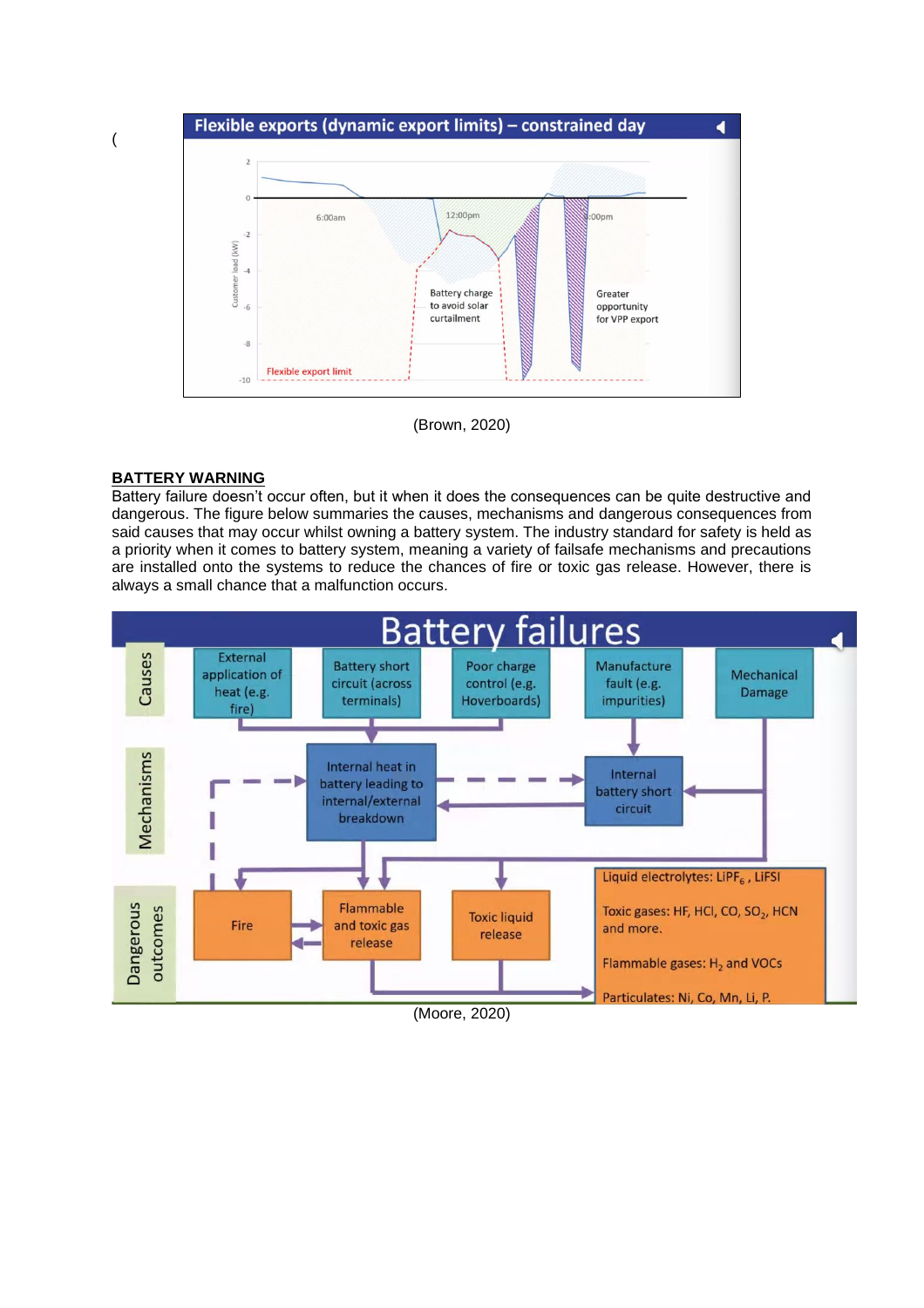

(Brown, 2020)

### **BATTERY WARNING**

Battery failure doesn't occur often, but it when it does the consequences can be quite destructive and dangerous. The figure below summaries the causes, mechanisms and dangerous consequences from said causes that may occur whilst owning a battery system. The industry standard for safety is held as a priority when it comes to battery system, meaning a variety of failsafe mechanisms and precautions are installed onto the systems to reduce the chances of fire or toxic gas release. However, there is always a small chance that a malfunction occurs.